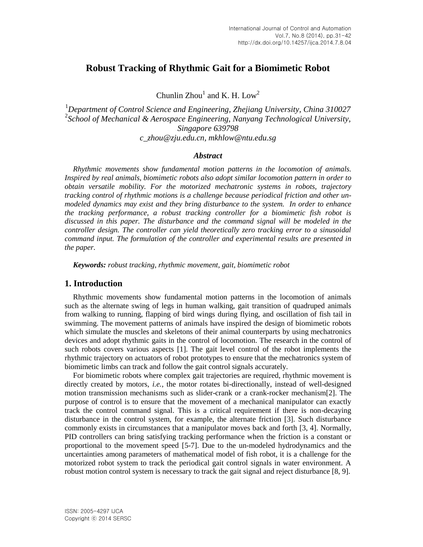# **Robust Tracking of Rhythmic Gait for a Biomimetic Robot**

Chunlin  $Zhou<sup>1</sup>$  and K. H. Low<sup>2</sup>

<sup>1</sup>*Department of Control Science and Engineering, Zhejiang University, China 310027* 2 *School of Mechanical & Aerospace Engineering, Nanyang Technological University, Singapore 639798 c\_zhou@zju.edu.cn, mkhlow@ntu.edu.sg*

### *Abstract*

*Rhythmic movements show fundamental motion patterns in the locomotion of animals. Inspired by real animals, biomimetic robots also adopt similar locomotion pattern in order to obtain versatile mobility. For the motorized mechatronic systems in robots, trajectory tracking control of rhythmic motions is a challenge because periodical friction and other unmodeled dynamics may exist and they bring disturbance to the system. In order to enhance the tracking performance, a robust tracking controller for a biomimetic fish robot is discussed in this paper. The disturbance and the command signal will be modeled in the controller design. The controller can yield theoretically zero tracking error to a sinusoidal command input. The formulation of the controller and experimental results are presented in the paper.*

*Keywords: robust tracking, rhythmic movement, gait, biomimetic robot*

# **1. Introduction**

Rhythmic movements show fundamental motion patterns in the locomotion of animals such as the alternate swing of legs in human walking, gait transition of quadruped animals from walking to running, flapping of bird wings during flying, and oscillation of fish tail in swimming. The movement patterns of animals have inspired the design of biomimetic robots which simulate the muscles and skeletons of their animal counterparts by using mechatronics devices and adopt rhythmic gaits in the control of locomotion. The research in the control of such robots covers various aspects [\[1\]](#page-10-0). The gait level control of the robot implements the rhythmic trajectory on actuators of robot prototypes to ensure that the mechatronics system of biomimetic limbs can track and follow the gait control signals accurately.

For biomimetic robots where complex gait trajectories are required, rhythmic movement is directly created by motors, *i.e.*, the motor rotates bi-directionally, instead of well-designed motion transmission mechanisms such as slider-crank or a crank-rocker mechanism[\[2\]](#page-10-1). The purpose of control is to ensure that the movement of a mechanical manipulator can exactly track the control command signal. This is a critical requirement if there is non-decaying disturbance in the control system, for example, the alternate friction [\[3\]](#page-10-2). Such disturbance commonly exists in circumstances that a manipulator moves back and forth [\[3,](#page-10-2) [4\]](#page-10-3). Normally, PID controllers can bring satisfying tracking performance when the friction is a constant or proportional to the movement speed [\[5-7\]](#page-10-4). Due to the un-modeled hydrodynamics and the uncertainties among parameters of mathematical model of fish robot, it is a challenge for the motorized robot system to track the periodical gait control signals in water environment. A robust motion control system is necessary to track the gait signal and reject disturbance [\[8,](#page-10-5) [9\]](#page-10-6).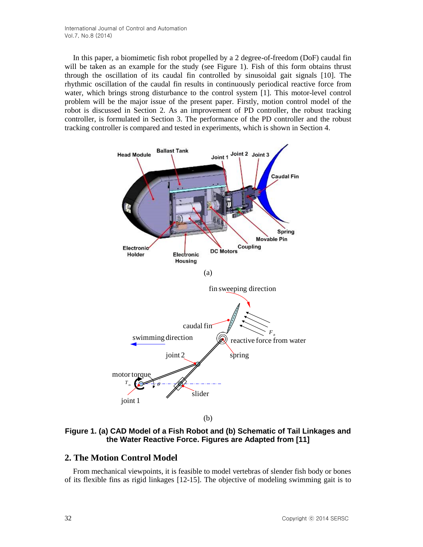In this paper, a biomimetic fish robot propelled by a 2 degree-of-freedom (DoF) caudal fin will be taken as an example for the study (see Figure 1). Fish of this form obtains thrust through the oscillation of its caudal fin controlled by sinusoidal gait signals [\[10\]](#page-10-7). The rhythmic oscillation of the caudal fin results in continuously periodical reactive force from water, which brings strong disturbance to the control system [\[1\]](#page-10-0). This motor-level control problem will be the major issue of the present paper. Firstly, motion control model of the robot is discussed in Section 2. As an improvement of PD controller, the robust tracking controller, is formulated in Section 3. The performance of the PD controller and the robust tracking controller is compared and tested in experiments, which is shown in Section 4.



<span id="page-1-0"></span>**Figure 1. (a) CAD Model of a Fish Robot and (b) Schematic of Tail Linkages and the Water Reactive Force. Figures are Adapted from [\[11\]](#page-10-8)**

# **2. The Motion Control Model**

From mechanical viewpoints, it is feasible to model vertebras of slender fish body or bones of its flexible fins as rigid linkages [\[12-15\]](#page-10-9). The objective of modeling swimming gait is to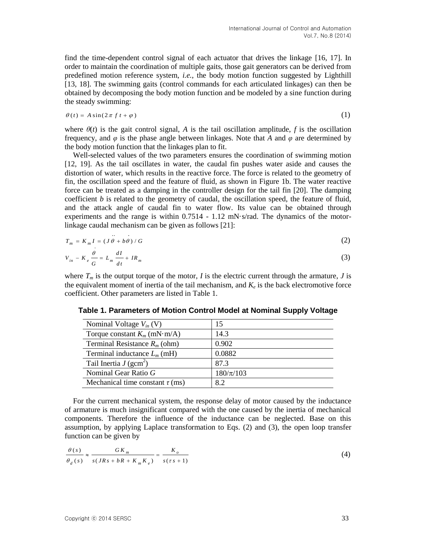find the time-dependent control signal of each actuator that drives the linkage [\[16,](#page-10-10) [17\]](#page-10-11). In order to maintain the coordination of multiple gaits, those gait generators can be derived from predefined motion reference system, *i.e.*, the body motion function suggested by Lighthill [\[13,](#page-10-12) [18\]](#page-10-13). The swimming gaits (control commands for each articulated linkages) can then be obtained by decomposing the body motion function and be modeled by a sine function during the steady swimming:

$$
\theta(t) = A \sin(2\pi f t + \varphi) \tag{1}
$$

where  $\theta(t)$  is the gait control signal, *A* is the tail oscillation amplitude, *f* is the oscillation frequency, and  $\varphi$  is the phase angle between linkages. Note that *A* and  $\varphi$  are determined by the body motion function that the linkages plan to fit.

Well-selected values of the two parameters ensures the coordination of swimming motion [\[12,](#page-10-9) [19\]](#page-10-14). As the tail oscillates in water, the caudal fin pushes water aside and causes the distortion of water, which results in the reactive force. The force is related to the geometry of fin, the oscillation speed and the feature of fluid, as shown in [Figure 1b](#page-1-0). The water reactive force can be treated as a damping in the controller design for the tail fin [\[20\]](#page-10-15). The damping coefficient  $b$  is related to the geometry of caudal, the oscillation speed, the feature of fluid, and the attack angle of caudal fin to water flow. Its value can be obtained through experiments and the range is within 0.7514 - 1.12 mN·s/rad. The dynamics of the motorlinkage caudal mechanism can be given as follows [\[21\]](#page-10-16):

$$
T_m = K_m I = (J\theta + b\theta) / G \tag{2}
$$

$$
V_{in} - K_e \frac{\dot{\theta}}{G} = L_m \frac{dI}{dt} + IR_m
$$
 (3)

where  $T_m$  is the output torque of the motor, *I* is the electric current through the armature, *J* is the equivalent moment of inertia of the tail mechanism, and  $K_e$  is the back electromotive force coefficient. Other parameters are listed in [Table 1.](#page-2-0)

| Nominal Voltage $V_{in}$ (V)         | 15            |
|--------------------------------------|---------------|
| Torque constant $K_m$ (mN·m/A)       | 14.3          |
| Terminal Resistance $R_m$ (ohm)      | 0.902         |
| Terminal inductance $L_m$ (mH)       | 0.0882        |
| Tail Inertia $J$ (gcm <sup>2</sup> ) | 87.3          |
| Nominal Gear Ratio G                 | $180/\pi/103$ |
| Mechanical time constant $\tau$ (ms) | 82            |

<span id="page-2-0"></span>**Table 1. Parameters of Motion Control Model at Nominal Supply Voltage**

) For the current mechanical system, the response delay of motor caused by the inductance of armature is much insignificant compared with the one caused by the inertia of mechanical components. Therefore the influence of the inductance can be neglected. Base on this assumption, by applying Laplace transformation to Eqs. (2) and (3), the open loop transfer function can be given by

$$
\frac{\theta(s)}{\theta_d(s)} \approx \frac{G K_m}{s(JRs + bR + K_m K_e)} = \frac{K_o}{s(\tau s + 1)}
$$
(4)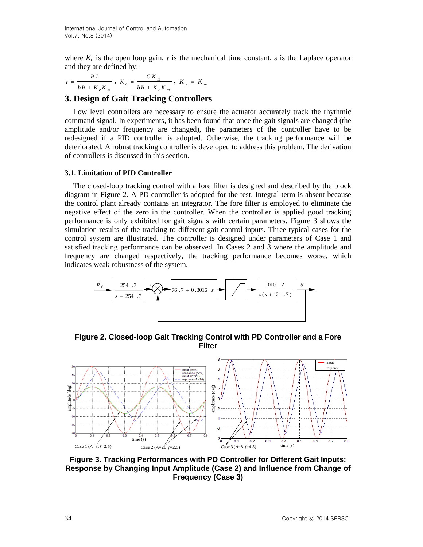where  $K_o$  is the open loop gain,  $\tau$  is the mechanical time constant, *s* is the Laplace operator and they are defined by:

$$
\tau = \frac{R J}{b R + K_e K_m} \, , \ K_o = \frac{G K_m}{b R + K_e K_m} \, , \ K_e = K_m
$$

## **3. Design of Gait Tracking Controllers**

Low level controllers are necessary to ensure the actuator accurately track the rhythmic command signal. In experiments, it has been found that once the gait signals are changed (the amplitude and/or frequency are changed), the parameters of the controller have to be redesigned if a PID controller is adopted. Otherwise, the tracking performance will be deteriorated. A robust tracking controller is developed to address this problem. The derivation of controllers is discussed in this section.

### **3.1. Limitation of PID Controller**

The closed-loop tracking control with a fore filter is designed and described by the block diagram in [Figure 2.](#page-3-0) A PD controller is adopted for the test. Integral term is absent because the control plant already contains an integrator. The fore filter is employed to eliminate the negative effect of the zero in the controller. When the controller is applied good tracking performance is only exhibited for gait signals with certain parameters. [Figure 3](#page-3-1) shows the simulation results of the tracking to different gait control inputs. Three typical cases for the control system are illustrated. The controller is designed under parameters of Case 1 and satisfied tracking performance can be observed. In Cases 2 and 3 where the amplitude and frequency are changed respectively, the tracking performance becomes worse, which indicates weak robustness of the system.



<span id="page-3-0"></span>**Figure 2. Closed-loop Gait Tracking Control with PD Controller and a Fore Filter**



<span id="page-3-1"></span>**Figure 3. Tracking Performances with PD Controller for Different Gait Inputs: Response by Changing Input Amplitude (Case 2) and Influence from Change of Frequency (Case 3)**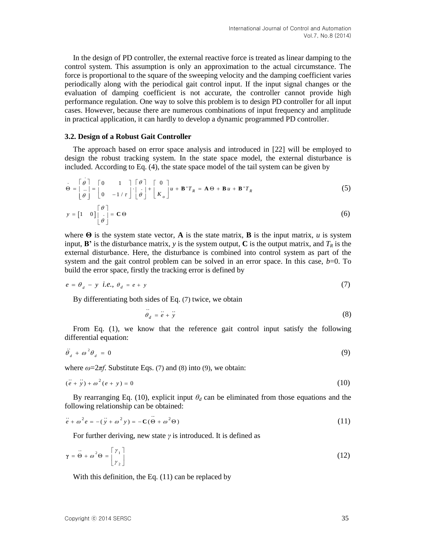In the design of PD controller, the external reactive force is treated as linear damping to the control system. This assumption is only an approximation to the actual circumstance. The force is proportional to the square of the sweeping velocity and the damping coefficient varies periodically along with the periodical gait control input. If the input signal changes or the evaluation of damping coefficient is not accurate, the controller cannot provide high performance regulation. One way to solve this problem is to design PD controller for all input cases. However, because there are numerous combinations of input frequency and amplitude in practical application, it can hardly to develop a dynamic programmed PD controller.

#### **3.2. Design of a Robust Gait Controller**

The approach based on error space analysis and introduced in [\[22\]](#page-10-17) will be employed to design the robust tracking system. In the state space model, the external disturbance is

included. According to Eq. (4), the state space model of the tail system can be given by\n
$$
\Theta = \begin{bmatrix} \theta \\ \theta \end{bmatrix} = \begin{bmatrix} 0 & 1 \\ 0 & -1/\tau \end{bmatrix} \begin{bmatrix} \theta \\ \theta \end{bmatrix} + \begin{bmatrix} 0 \\ K_o \end{bmatrix} u + B' T_R = A \Theta + B u + B' T_R
$$
\n(5)

$$
y = \begin{bmatrix} 1 & 0 \end{bmatrix} \begin{bmatrix} \theta \\ \cdot \\ \theta \end{bmatrix} = \mathbf{C} \Theta
$$
 (6)

where  $\Theta$  is the system state vector, **A** is the state matrix, **B** is the input matrix, *u* is system input, **B**' is the disturbance matrix, *y* is the system output, **C** is the output matrix, and  $T<sub>R</sub>$  is the external disturbance. Here, the disturbance is combined into control system as part of the system and the gait control problem can be solved in an error space. In this case, *b*=0. To build the error space, firstly the tracking error is defined by

$$
e = \theta_d - y \quad i.e., \quad \theta_d = e + y \tag{7}
$$

By differentiating both sides of Eq. (7) twice, we obtain

$$
\ddot{\theta}_d = e + y \tag{8}
$$

From Eq. (1), we know that the reference gait control input satisfy the following differential equation:

$$
\ddot{\theta}_d + \omega^2 \theta_d = 0 \tag{9}
$$

where *ω*=2*πf*. Substitute Eqs. (7) and (8) into (9), we obtain:

$$
(\ddot{e} + \ddot{y}) + \omega^2 (e + y) = 0 \tag{10}
$$

By rearranging Eq. (10), explicit input  $\theta_d$  can be eliminated from those equations and the following relationship can be obtained:

$$
\ddot{e} + \omega^2 e = -(\ddot{y} + \omega^2 y) = -\mathbf{C}(\Theta + \omega^2 \Theta)
$$
\n(11)

For further deriving, new state *γ* is introduced. It is defined as

$$
\gamma = \ddot{\Theta} + \omega^2 \Theta = \begin{bmatrix} \gamma_1 \\ \gamma_2 \end{bmatrix} \tag{12}
$$

With this definition, the Eq. (11) can be replaced by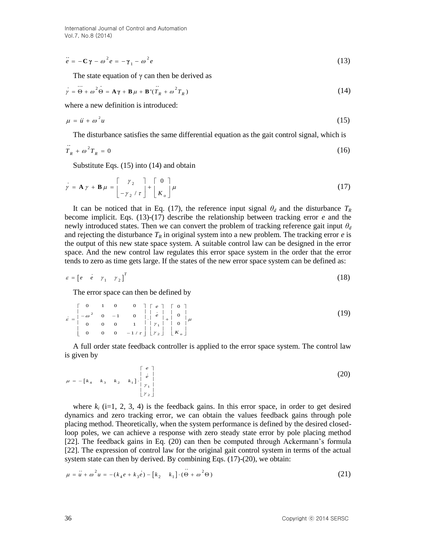$$
\ddot{e} = -\mathbf{C}\gamma - \omega^2 e = -\gamma_1 - \omega^2 e \tag{13}
$$

The state equation of  $\gamma$  can then be derived as

$$
\dot{\gamma} = \Theta + \omega^2 \Theta = \mathbf{A}\gamma + \mathbf{B}\mu + \mathbf{B}'(T_R + \omega^2 T_R)
$$
\n(14)

where a new definition is introduced:

$$
\mu = \ddot{u} + \omega^2 u \tag{15}
$$

The disturbance satisfies the same differential equation as the gait control signal, which is

$$
\ddot{T}_R + \omega^2 T_R = 0 \tag{16}
$$

Substitute Eqs. (15) into (14) and obtain

$$
\dot{\gamma} = \mathbf{A}\gamma + \mathbf{B}\mu = \begin{bmatrix} \gamma_2 \\ -\gamma_2/\tau \end{bmatrix} + \begin{bmatrix} 0 \\ K_o \end{bmatrix} \mu
$$
\n(17)

 $\ddot{\epsilon} = -C\gamma - \omega^2 e = -\gamma - \omega^2 e$ <br>
The state equation of  $\gamma$  earn then he derived as<br>  $\gamma = \delta^2 e = \gamma^2 + 8\pi$ ,  $\gamma = \gamma^2 + 8\pi^2$  (14<br>  $\gamma = \delta^2 e = \gamma^2 + 8\pi$ ) (14<br>  $\gamma = \delta^2 e^2 + \gamma^2 = 0$ <br>  $\gamma = \delta^2 e^2 + \gamma^2 = 0$ <br>
The disturbance satisfi It can be noticed that in Eq. (17), the reference input signal  $\theta_d$  and the disturbance  $T_R$ become implicit. Eqs. (13)-(17) describe the relationship between tracking error *e* and the newly introduced states. Then we can convert the problem of tracking reference gait input *θ<sup>d</sup>* and rejecting the disturbance  $T_R$  in original system into a new problem. The tracking error  $e$  is the output of this new state space system. A suitable control law can be designed in the error space. And the new control law regulates this error space system in the order that the error tends to zero as time gets large. If the states of the new error space system can be defined as:

$$
\varepsilon = \begin{bmatrix} e & e & \gamma_1 & \gamma_2 \end{bmatrix}^T \tag{18}
$$

The error space can then be defined by

| $\vec{\epsilon} = \begin{vmatrix} -\omega^2 & 0 & -1 & 0 & \cdot & \cdot & \cdot & \cdot & \cdot \\ 0 & 0 & 0 & 1 & \cdot & \cdot & \cdot & \cdot & \cdot \\ 0 & 0 & 0 & -1/\tau & \cdot & \cdot & \cdot & \cdot & \cdot \\ \end{vmatrix} \begin{vmatrix} \cdot & \cdot & \cdot & \cdot & \cdot & \cdot & \cdot & \cdot \\ \cdot & \cdot & \cdot & \cdot & \cdot & \cdot & \cdot & \cdot \\ \cdot & \cdot & \cdot & \cdot & \cdot & \cdot & \cdot & \cdot \\ \cdot & \cdot & \cdot & \cdot & \cdot & \cdot & \cdot & \cdot \\ \cdot & \cdot & \cdot & \cdot & \cdot$ |  | $\begin{bmatrix} 0 & 1 & 0 & 0 \end{bmatrix} \begin{bmatrix} e \\ \end{bmatrix} \begin{bmatrix} 0 \\ \end{bmatrix}$ |  | (19) |
|----------------------------------------------------------------------------------------------------------------------------------------------------------------------------------------------------------------------------------------------------------------------------------------------------------------------------------------------------------------------------------------------------------------------------------------------------------------------------------------------------------------------------------------------------------------------|--|---------------------------------------------------------------------------------------------------------------------|--|------|
|                                                                                                                                                                                                                                                                                                                                                                                                                                                                                                                                                                      |  |                                                                                                                     |  |      |

A full order state feedback controller is applied to the error space system. The control law is given by

$$
\mu = -\begin{bmatrix} k_4 & k_3 & k_2 & k_1 \end{bmatrix} \cdot \begin{bmatrix} e \\ e \\ e \\ r_1 \\ r_2 \end{bmatrix} \tag{20}
$$

where  $k_i$  (i=1, 2, 3, 4) is the feedback gains. In this error space, in order to get desired dynamics and zero tracking error, we can obtain the values feedback gains through pole placing method. Theoretically, when the system performance is defined by the desired closedloop poles, we can achieve a response with zero steady state error by pole placing method [\[22\]](#page-10-17). The feedback gains in Eq. (20) can then be computed through Ackermann's formula [\[22\]](#page-10-17). The expression of control law for the original gait control system in terms of the actual system state can then by derived. By combining Eqs. (17)-(20), we obtain:

$$
\mu = \ddot{u} + \omega^2 u = -(k_4 e + k_3 e) - [k_2 \quad k_1] \cdot (\dot{\Theta} + \omega^2 \Theta)
$$
 (21)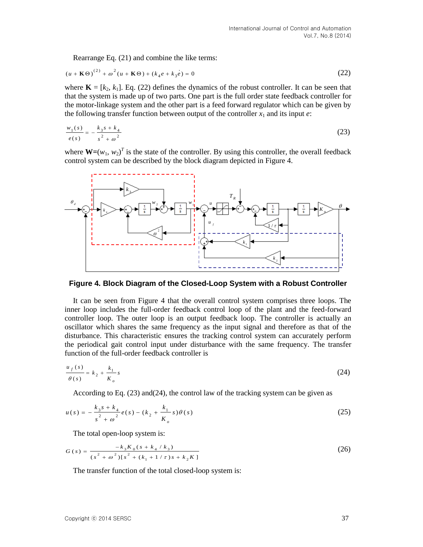Rearrange Eq. (21) and combine the like terms:

$$
(u + K\Theta)^{(2)} + \omega^{2} (u + K\Theta) + (k_{4}e + k_{3}e) = 0
$$
\n(22)

where  $\mathbf{K} = [k_2, k_1]$ . Eq. (22) defines the dynamics of the robust controller. It can be seen that that the system is made up of two parts. One part is the full order state feedback controller for the motor-linkage system and the other part is a feed forward regulator which can be given by the following transfer function between output of the controller  $x_1$  and its input  $e$ :

$$
\frac{w_1(s)}{e(s)} = -\frac{k_3s + k_4}{s^2 + \omega^2} \tag{23}
$$

where  $\mathbf{W}=(w_1, w_2)^T$  is the state of the controller. By using this controller, the overall feedback control system can be described by the block diagram depicted in [Figure 4.](#page-6-0)



<span id="page-6-0"></span>**Figure 4. Block Diagram of the Closed-Loop System with a Robust Controller**

It can be seen from [Figure 4](#page-6-0) that the overall control system comprises three loops. The inner loop includes the full-order feedback control loop of the plant and the feed-forward controller loop. The outer loop is an output feedback loop. The controller is actually an oscillator which shares the same frequency as the input signal and therefore as that of the disturbance. This characteristic ensures the tracking control system can accurately perform the periodical gait control input under disturbance with the same frequency. The transfer function of the full-order feedback controller is

$$
\frac{u_f(s)}{\theta(s)} = k_2 + \frac{k_1}{K_o} s \tag{24}
$$

According to Eq. (23) and(24), the control law of the tracking system can be given as

$$
u(s) = -\frac{k_3 s + k_4}{s^2 + \omega^2} e(s) - (k_2 + \frac{k_1}{K_o} s) \theta(s)
$$
 (25)

The total open-loop system is:  
\n
$$
G(s) = \frac{-k_3 K_0 (s + k_4 / k_3)}{(s^2 + \omega^2) [s^2 + (k_1 + 1 / \tau) s + k_2 K]}
$$
\n(26)

The transfer function of the total closed-loop system is: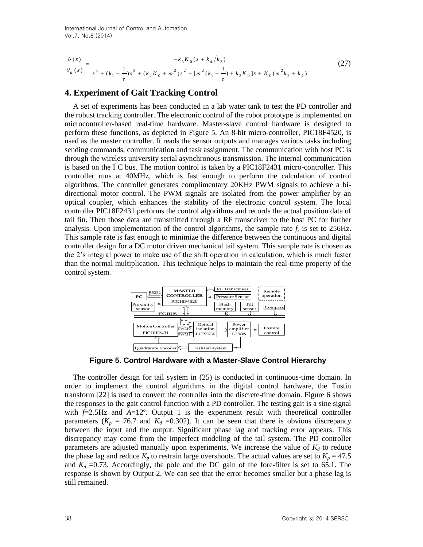$$
\frac{\theta(s)}{\theta_d(s)} = \frac{-k_3 K_0 (s + k_4 / k_3)}{s^4 + (k_1 + \frac{1}{\tau})s^3 + (k_2 K_0 + \omega^2)s^2 + [\omega^2 (k_1 + \frac{1}{\tau}) + k_3 K_0]s + K_0 (\omega^2 k_2 + k_4)}
$$
(27)

# **4. Experiment of Gait Tracking Control**

A set of experiments has been conducted in a lab water tank to test the PD controller and the robust tracking controller. The electronic control of the robot prototype is implemented on microcontroller-based real-time hardware. Master-slave control hardware is designed to perform these functions, as depicted in [Figure 5.](#page-7-0) An 8-bit micro-controller, PIC18F4520, is used as the master controller. It reads the sensor outputs and manages various tasks including sending commands, communication and task assignment. The communication with host PC is through the wireless university serial asynchronous transmission. The internal communication is based on the  $I^2C$  bus. The motion control is taken by a PIC18F2431 micro-controller. This controller runs at 40MHz, which is fast enough to perform the calculation of control algorithms. The controller generates complimentary 20KHz PWM signals to achieve a bidirectional motor control. The PWM signals are isolated from the power amplifier by an optical coupler, which enhances the stability of the electronic control system. The local controller PIC18F2431 performs the control algorithms and records the actual position data of tail fin. Then those data are transmitted through a RF transceiver to the host PC for further analysis. Upon implementation of the control algorithms, the sample rate  $f_s$  is set to 256Hz. This sample rate is fast enough to minimize the difference between the continuous and digital controller design for a DC motor driven mechanical tail system. This sample rate is chosen as the 2's integral power to make use of the shift operation in calculation, which is much faster than the normal multiplication. This technique helps to maintain the real-time property of the control system.



**Figure 5. Control Hardware with a Master-Slave Control Hierarchy**

<span id="page-7-0"></span>The controller design for tail system in (25) is conducted in continuous-time domain. In order to implement the control algorithms in the digital control hardware, the Tustin transform [\[22\]](#page-10-17) is used to convert the controller into the discrete-time domain. [Figure 6](#page-8-0) shows the responses to the gait control function with a PD controller. The testing gait is a sine signal with  $f=2.5\text{Hz}$  and  $A=12^\circ$ . Output 1 is the experiment result with theoretical controller parameters ( $K_p$  = 76.7 and  $K_d$  =0.302). It can be seen that there is obvious discrepancy between the input and the output. Significant phase lag and tracking error appears. This discrepancy may come from the imperfect modeling of the tail system. The PD controller parameters are adjusted manually upon experiments. We increase the value of  $K_d$  to reduce the phase lag and reduce  $K_p$  to restrain large overshoots. The actual values are set to  $K_p = 47.5$ and  $K_d = 0.73$ . Accordingly, the pole and the DC gain of the fore-filter is set to 65.1. The response is shown by Output 2. We can see that the error becomes smaller but a phase lag is still remained.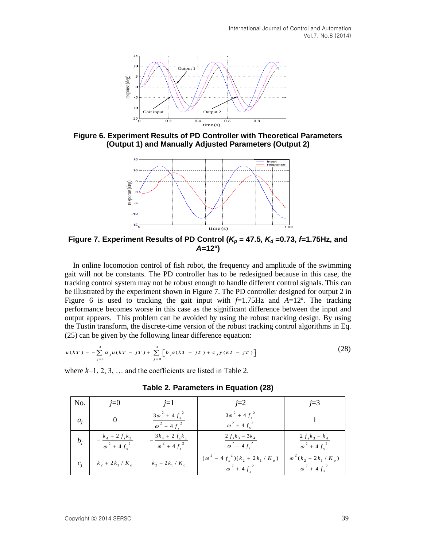

<span id="page-8-0"></span>**Figure 6. Experiment Results of PD Controller with Theoretical Parameters (Output 1) and Manually Adjusted Parameters (Output 2)**



<span id="page-8-1"></span>**Figure 7. Experiment Results of PD Control (** $K_p$  **= 47.5,**  $K_d$  **=0.73,**  $f=1.75$ **Hz, and** *A***=12º)**

In online locomotion control of fish robot, the frequency and amplitude of the swimming gait will not be constants. The PD controller has to be redesigned because in this case, the tracking control system may not be robust enough to handle different control signals. This can be illustrated by the experiment shown in [Figure 7.](#page-8-1) The PD controller designed for output 2 in [Figure 6](#page-8-0) is used to tracking the gait input with  $f=1.75\text{Hz}$  and  $A=12^\circ$ . The tracking performance becomes worse in this case as the significant difference between the input and output appears. This problem can be avoided by using the robust tracking design. By using the Tustin transform, the discrete-time version of the robust tracking control algorithms in Eq.

(25) can be given by the following linear difference equation:  
\n
$$
u(kT) = -\sum_{j=1}^{3} a_j u(kT - jT) + \sum_{j=0}^{3} \left[ b_j e(kT - jT) + c_j y(kT - jT) \right]
$$
\n(28)

<span id="page-8-2"></span>where  $k=1, 2, 3, \ldots$  and the coefficients are listed in [Table 2.](#page-8-2)

| No.   | $j=0$                                       | $j=1$                                            | $j=2$                                                               | $j=3$                                                      |
|-------|---------------------------------------------|--------------------------------------------------|---------------------------------------------------------------------|------------------------------------------------------------|
| $a_i$ |                                             | $3\omega^2 + 4f_{s}^2$<br>$\omega^2$ + 4 $f_0^2$ | $3\omega^2 + 4f_s^2$<br>$\omega^2$ + 4 $f_s^2$                      |                                                            |
| $b_i$ | $k_4 + 2 f_s k_3$<br>$\omega^2$ + 4 $f_s^2$ | $3k_4 + 2f_s k_3$<br>$\omega^2$ + 4 $f_s^2$      | $2 f_{s} k_{3} - 3 k_{4}$<br>$\omega^2$ + 4 $f_0^2$                 | $2 f_s k_3 - k_4$<br>$\omega^2$ + 4 $f_s^2$                |
| $c_i$ | $k_2 + 2k_1 / K_o$                          | $k_2 - 2k_1/K_{\rho}$                            | $(\omega^2 - 4 f_s^2)(k_2 + 2 k_1 / K_a)$<br>$\omega^2$ + 4 $f_*^2$ | $\omega^{2}(k_{2}-2k_{1}/K_{0})$<br>$\omega^2$ + 4 $f_1^2$ |

**Table 2. Parameters in Equation (28)**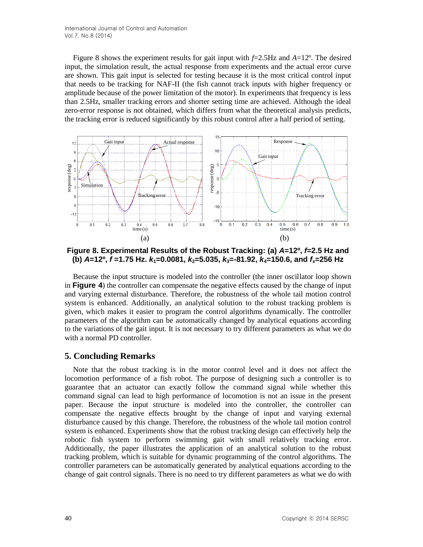[Figure 8](#page-9-0) shows the experiment results for gait input with *f*=2.5Hz and *A*=12º. The desired input, the simulation result, the actual response from experiments and the actual error curve are shown. This gait input is selected for testing because it is the most critical control input that needs to be tracking for NAF-II (the fish cannot track inputs with higher frequency or amplitude because of the power limitation of the motor). In experiments that frequency is less than 2.5Hz, smaller tracking errors and shorter setting time are achieved. Although the ideal zero-error response is not obtained, which differs from what the theoretical analysis predicts, the tracking error is reduced significantly by this robust control after a half period of setting.



<span id="page-9-0"></span>**Figure 8. Experimental Results of the Robust Tracking: (a)** *A***=12º,** *f***=2.5 Hz and (b)** *A***=12º,** *f* **=1.75 Hz.** *k***1=0.0081,** *k***2=5.035,** *k***3=-81.92,** *k***4=150.6, and** *fs***=256 Hz**

Because the input structure is modeled into the controller (the inner oscillator loop shown in **[Figure 4](#page-6-0)**) the controller can compensate the negative effects caused by the change of input and varying external disturbance. Therefore, the robustness of the whole tail motion control system is enhanced. Additionally, an analytical solution to the robust tracking problem is given, which makes it easier to program the control algorithms dynamically. The controller parameters of the algorithm can be automatically changed by analytical equations according to the variations of the gait input. It is not necessary to try different parameters as what we do with a normal PD controller.

# **5. Concluding Remarks**

Note that the robust tracking is in the motor control level and it does not affect the locomotion performance of a fish robot. The purpose of designing such a controller is to guarantee that an actuator can exactly follow the command signal while whether this command signal can lead to high performance of locomotion is not an issue in the present paper. Because the input structure is modeled into the controller, the controller can compensate the negative effects brought by the change of input and varying external disturbance caused by this change. Therefore, the robustness of the whole tail motion control system is enhanced. Experiments show that the robust tracking design can effectively help the robotic fish system to perform swimming gait with small relatively tracking error. Additionally, the paper illustrates the application of an analytical solution to the robust tracking problem, which is suitable for dynamic programming of the control algorithms. The controller parameters can be automatically generated by analytical equations according to the change of gait control signals. There is no need to try different parameters as what we do with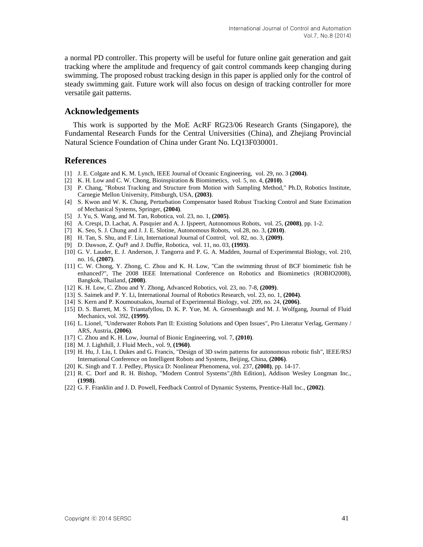a normal PD controller. This property will be useful for future online gait generation and gait tracking where the amplitude and frequency of gait control commands keep changing during swimming. The proposed robust tracking design in this paper is applied only for the control of steady swimming gait. Future work will also focus on design of tracking controller for more versatile gait patterns.

### **Acknowledgements**

This work is supported by the MoE AcRF RG23/06 Research Grants (Singapore), the Fundamental Research Funds for the Central Universities (China), and Zhejiang Provincial Natural Science Foundation of China under Grant No. LQ13F030001.

### **References**

- <span id="page-10-0"></span>[1] J. E. Colgate and K. M. Lynch, IEEE Journal of Oceanic Engineering, vol. 29, no. 3 **(2004)**.
- <span id="page-10-1"></span>[2] K. H. Low and C. W. Chong, Bioinspiration & Biomimetics, vol. 5, no. 4, **(2010)**.
- <span id="page-10-2"></span>[3] P. Chang, "Robust Tracking and Structure from Motion with Sampling Method," Ph.D, Robotics Institute, Carnegie Mellon University, Pittsburgh, USA, **(2003)**.
- <span id="page-10-3"></span>[4] S. Kwon and W. K. Chung, Perturbation Compensator based Robust Tracking Control and State Estimation of Mechanical Systems, Springer, **(2004)**.
- <span id="page-10-4"></span>[5] J. Yu, S. Wang, and M. Tan, Robotica, vol. 23, no. 1, **(2005)**.
- [6] A. Crespi, D. Lachat, A. Pasquier and A. J. Ijspeert, Autonomous Robots, vol. 25, **(2008)**, pp. 1-2.
- [7] K. Seo, S. J. Chung and J. J. E. Slotine, Autonomous Robots, vol.28, no. 3, **(2010)**.
- <span id="page-10-5"></span>[8] H. Tan, S. Shu, and F. Lin, International Journal of Control, vol. 82, no. 3, **(2009)**.
- <span id="page-10-6"></span>[9] D. Dawson, Z. Quf† and J. Duffie, Robotica, vol. 11, no. 03, **(1993)**.
- <span id="page-10-7"></span>[10] G. V. Lauder, E. J. Anderson, J. Tangorra and P. G. A. Madden, Journal of Experimental Biology, vol. 210, no. 16, **(2007)**.
- <span id="page-10-8"></span>[11] C. W. Chong, Y. Zhong, C. Zhou and K. H. Low, "Can the swimming thrust of BCF biomimetic fish be enhanced?", The 2008 IEEE International Conference on Robotics and Biomimetics (ROBIO2008), Bangkok, Thailand, **(2008)**.
- <span id="page-10-9"></span>[12] K. H. Low, C. Zhou and Y. Zhong, Advanced Robotics, vol. 23, no. 7-8, **(2009)**.
- <span id="page-10-12"></span>[13] S. Saimek and P. Y. Li, International Journal of Robotics Research, vol. 23, no. 1, **(2004)**.
- [14] S. Kern and P. Koumoutsakos, Journal of Experimental Biology, vol. 209, no. 24, **(2006)**.
- [15] D. S. Barrett, M. S. Triantafyllou, D. K. P. Yue, M. A. Grosenbaugh and M. J. Wolfgang, Journal of Fluid Mechanics, vol. 392, **(1999)**.
- <span id="page-10-10"></span>[16] L. Lionel, "Underwater Robots Part II: Existing Solutions and Open Issues", Pro Literatur Verlag, Germany / ARS, Austria, **(2006)**.
- <span id="page-10-11"></span>[17] C. Zhou and K. H. Low, Journal of Bionic Engineering, vol. 7, **(2010)**.
- <span id="page-10-13"></span>[18] M. J. Lighthill, J. Fluid Mech., vol. 9, **(1960)**.
- <span id="page-10-14"></span>[19] H. Hu, J. Liu, I. Dukes and G. Francis, "Design of 3D swim patterns for autonomous robotic fish", IEEE/RSJ International Conference on Intelligent Robots and Systems, Beijing, China, **(2006)**.
- <span id="page-10-15"></span>[20] K. Singh and T. J. Pedley, Physica D: Nonlinear Phenomena, vol. 237, **(2008)**, pp. 14-17.
- <span id="page-10-16"></span>[21] R. C. Dorf and R. H. Bishop, "Modern Control Systems",(8th Edition), Addison Wesley Longman Inc., **(1998)**.
- <span id="page-10-17"></span>[22] G. F. Franklin and J. D. Powell, Feedback Control of Dynamic Systems, Prentice-Hall Inc., **(2002)**.